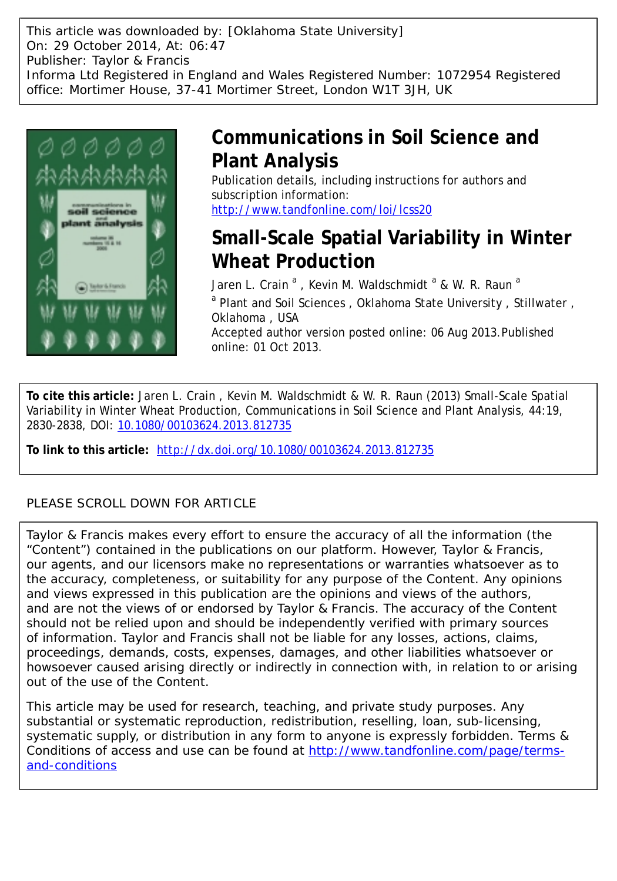This article was downloaded by: [Oklahoma State University] On: 29 October 2014, At: 06:47 Publisher: Taylor & Francis Informa Ltd Registered in England and Wales Registered Number: 1072954 Registered office: Mortimer House, 37-41 Mortimer Street, London W1T 3JH, UK



# **Communications in Soil Science and Plant Analysis**

Publication details, including instructions for authors and subscription information: <http://www.tandfonline.com/loi/lcss20>

# **Small-Scale Spatial Variability in Winter Wheat Production**

Jaren L. Crain <sup>a</sup> , Kevin M. Waldschmidt <sup>a</sup> & W. R. Raun <sup>a</sup> <sup>a</sup> Plant and Soil Sciences, Oklahoma State University, Stillwater, Oklahoma , USA Accepted author version posted online: 06 Aug 2013.Published online: 01 Oct 2013.

**To cite this article:** Jaren L. Crain , Kevin M. Waldschmidt & W. R. Raun (2013) Small-Scale Spatial Variability in Winter Wheat Production, Communications in Soil Science and Plant Analysis, 44:19, 2830-2838, DOI: [10.1080/00103624.2013.812735](http://www.tandfonline.com/action/showCitFormats?doi=10.1080/00103624.2013.812735)

**To link to this article:** <http://dx.doi.org/10.1080/00103624.2013.812735>

## PLEASE SCROLL DOWN FOR ARTICLE

Taylor & Francis makes every effort to ensure the accuracy of all the information (the "Content") contained in the publications on our platform. However, Taylor & Francis, our agents, and our licensors make no representations or warranties whatsoever as to the accuracy, completeness, or suitability for any purpose of the Content. Any opinions and views expressed in this publication are the opinions and views of the authors, and are not the views of or endorsed by Taylor & Francis. The accuracy of the Content should not be relied upon and should be independently verified with primary sources of information. Taylor and Francis shall not be liable for any losses, actions, claims, proceedings, demands, costs, expenses, damages, and other liabilities whatsoever or howsoever caused arising directly or indirectly in connection with, in relation to or arising out of the use of the Content.

This article may be used for research, teaching, and private study purposes. Any substantial or systematic reproduction, redistribution, reselling, loan, sub-licensing, systematic supply, or distribution in any form to anyone is expressly forbidden. Terms & Conditions of access and use can be found at [http://www.tandfonline.com/page/terms](http://www.tandfonline.com/page/terms-and-conditions)[and-conditions](http://www.tandfonline.com/page/terms-and-conditions)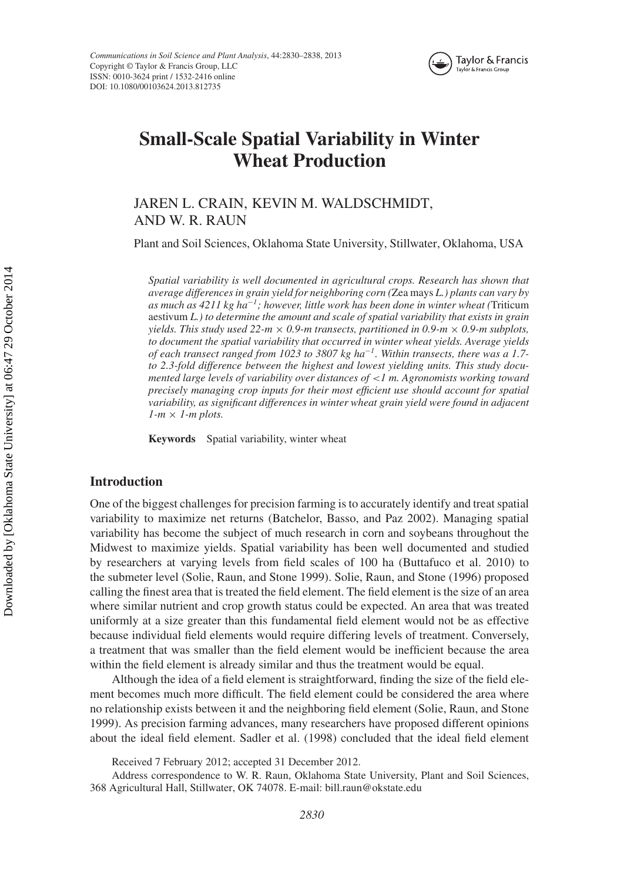

# **Small-Scale Spatial Variability in Winter Wheat Production**

JAREN L. CRAIN, KEVIN M. WALDSCHMIDT, AND W. R. RAUN

Plant and Soil Sciences, Oklahoma State University, Stillwater, Oklahoma, USA

*Spatial variability is well documented in agricultural crops. Research has shown that average differences in grain yield for neighboring corn (*Zea mays *L.) plants can vary by as much as 4211 kg ha*−*1; however, little work has been done in winter wheat (*Triticum aestivum *L.) to determine the amount and scale of spatial variability that exists in grain yields. This study used 22-m*  $\times$  *0.9-m transects, partitioned in 0.9-m*  $\times$  *0.9-m subplots, to document the spatial variability that occurred in winter wheat yields. Average yields of each transect ranged from 1023 to 3807 kg ha*−*1. Within transects, there was a 1.7 to 2.3-fold difference between the highest and lowest yielding units. This study documented large levels of variability over distances of <1 m. Agronomists working toward precisely managing crop inputs for their most efficient use should account for spatial variability, as significant differences in winter wheat grain yield were found in adjacent*  $1-m \times 1$ -*m* plots.

**Keywords** Spatial variability, winter wheat

### **Introduction**

One of the biggest challenges for precision farming is to accurately identify and treat spatial variability to maximize net returns (Batchelor, Basso, and Paz 2002). Managing spatial variability has become the subject of much research in corn and soybeans throughout the Midwest to maximize yields. Spatial variability has been well documented and studied by researchers at varying levels from field scales of 100 ha (Buttafuco et al. 2010) to the submeter level (Solie, Raun, and Stone 1999). Solie, Raun, and Stone (1996) proposed calling the finest area that is treated the field element. The field element is the size of an area where similar nutrient and crop growth status could be expected. An area that was treated uniformly at a size greater than this fundamental field element would not be as effective because individual field elements would require differing levels of treatment. Conversely, a treatment that was smaller than the field element would be inefficient because the area within the field element is already similar and thus the treatment would be equal.

Although the idea of a field element is straightforward, finding the size of the field element becomes much more difficult. The field element could be considered the area where no relationship exists between it and the neighboring field element (Solie, Raun, and Stone 1999). As precision farming advances, many researchers have proposed different opinions about the ideal field element. Sadler et al. (1998) concluded that the ideal field element

Received 7 February 2012; accepted 31 December 2012.

Address correspondence to W. R. Raun, Oklahoma State University, Plant and Soil Sciences, 368 Agricultural Hall, Stillwater, OK 74078. E-mail: bill.raun@okstate.edu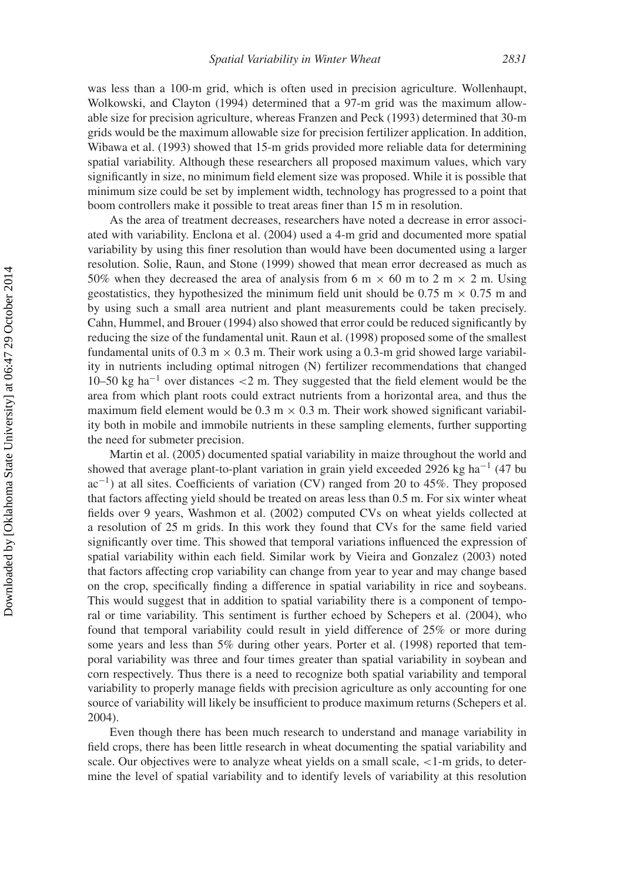was less than a 100-m grid, which is often used in precision agriculture. Wollenhaupt, Wolkowski, and Clayton (1994) determined that a 97-m grid was the maximum allowable size for precision agriculture, whereas Franzen and Peck (1993) determined that 30-m grids would be the maximum allowable size for precision fertilizer application. In addition, Wibawa et al. (1993) showed that 15-m grids provided more reliable data for determining spatial variability. Although these researchers all proposed maximum values, which vary significantly in size, no minimum field element size was proposed. While it is possible that minimum size could be set by implement width, technology has progressed to a point that boom controllers make it possible to treat areas finer than 15 m in resolution.

As the area of treatment decreases, researchers have noted a decrease in error associated with variability. Enclona et al. (2004) used a 4-m grid and documented more spatial variability by using this finer resolution than would have been documented using a larger resolution. Solie, Raun, and Stone (1999) showed that mean error decreased as much as 50% when they decreased the area of analysis from 6 m  $\times$  60 m to 2 m  $\times$  2 m. Using geostatistics, they hypothesized the minimum field unit should be 0.75 m  $\times$  0.75 m and by using such a small area nutrient and plant measurements could be taken precisely. Cahn, Hummel, and Brouer (1994) also showed that error could be reduced significantly by reducing the size of the fundamental unit. Raun et al. (1998) proposed some of the smallest fundamental units of  $0.3 \text{ m} \times 0.3 \text{ m}$ . Their work using a 0.3-m grid showed large variability in nutrients including optimal nitrogen (N) fertilizer recommendations that changed 10–50 kg ha−<sup>1</sup> over distances *<*2 m. They suggested that the field element would be the area from which plant roots could extract nutrients from a horizontal area, and thus the maximum field element would be  $0.3 \text{ m} \times 0.3 \text{ m}$ . Their work showed significant variability both in mobile and immobile nutrients in these sampling elements, further supporting the need for submeter precision.

Martin et al. (2005) documented spatial variability in maize throughout the world and showed that average plant-to-plant variation in grain yield exceeded 2926 kg ha<sup>-1</sup> (47 bu  $ac^{-1}$ ) at all sites. Coefficients of variation (CV) ranged from 20 to 45%. They proposed that factors affecting yield should be treated on areas less than 0.5 m. For six winter wheat fields over 9 years, Washmon et al. (2002) computed CVs on wheat yields collected at a resolution of 25 m grids. In this work they found that CVs for the same field varied significantly over time. This showed that temporal variations influenced the expression of spatial variability within each field. Similar work by Vieira and Gonzalez (2003) noted that factors affecting crop variability can change from year to year and may change based on the crop, specifically finding a difference in spatial variability in rice and soybeans. This would suggest that in addition to spatial variability there is a component of temporal or time variability. This sentiment is further echoed by Schepers et al. (2004), who found that temporal variability could result in yield difference of 25% or more during some years and less than 5% during other years. Porter et al. (1998) reported that temporal variability was three and four times greater than spatial variability in soybean and corn respectively. Thus there is a need to recognize both spatial variability and temporal variability to properly manage fields with precision agriculture as only accounting for one source of variability will likely be insufficient to produce maximum returns (Schepers et al. 2004).

Even though there has been much research to understand and manage variability in field crops, there has been little research in wheat documenting the spatial variability and scale. Our objectives were to analyze wheat yields on a small scale, *<*1-m grids, to determine the level of spatial variability and to identify levels of variability at this resolution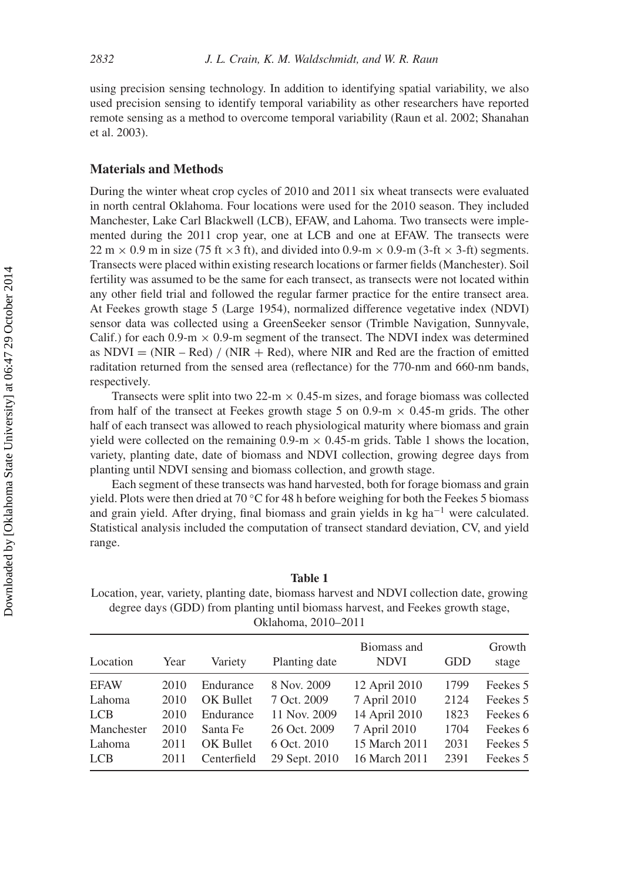using precision sensing technology. In addition to identifying spatial variability, we also used precision sensing to identify temporal variability as other researchers have reported remote sensing as a method to overcome temporal variability (Raun et al. 2002; Shanahan et al. 2003).

### **Materials and Methods**

During the winter wheat crop cycles of 2010 and 2011 six wheat transects were evaluated in north central Oklahoma. Four locations were used for the 2010 season. They included Manchester, Lake Carl Blackwell (LCB), EFAW, and Lahoma. Two transects were implemented during the 2011 crop year, one at LCB and one at EFAW. The transects were 22 m  $\times$  0.9 m in size (75 ft  $\times$ 3 ft), and divided into 0.9-m  $\times$  0.9-m (3-ft  $\times$  3-ft) segments. Transects were placed within existing research locations or farmer fields (Manchester). Soil fertility was assumed to be the same for each transect, as transects were not located within any other field trial and followed the regular farmer practice for the entire transect area. At Feekes growth stage 5 (Large 1954), normalized difference vegetative index (NDVI) sensor data was collected using a GreenSeeker sensor (Trimble Navigation, Sunnyvale, Calif.) for each 0.9-m  $\times$  0.9-m segment of the transect. The NDVI index was determined as  $NDVI = (NIR - Red) / (NIR + Red)$ , where NIR and Red are the fraction of emitted raditation returned from the sensed area (reflectance) for the 770-nm and 660-nm bands, respectively.

Transects were split into two 22-m  $\times$  0.45-m sizes, and forage biomass was collected from half of the transect at Feekes growth stage 5 on 0.9-m  $\times$  0.45-m grids. The other half of each transect was allowed to reach physiological maturity where biomass and grain yield were collected on the remaining  $0.9\text{-m} \times 0.45\text{-m}$  grids. Table 1 shows the location, variety, planting date, date of biomass and NDVI collection, growing degree days from planting until NDVI sensing and biomass collection, and growth stage.

Each segment of these transects was hand harvested, both for forage biomass and grain yield. Plots were then dried at 70  $\degree$ C for 48 h before weighing for both the Feekes 5 biomass and grain yield. After drying, final biomass and grain yields in kg ha−<sup>1</sup> were calculated. Statistical analysis included the computation of transect standard deviation, CV, and yield range.

**Table 1** Location, year, variety, planting date, biomass harvest and NDVI collection date, growing degree days (GDD) from planting until biomass harvest, and Feekes growth stage, Oklahoma, 2010–2011

| Location             | Year         | Variety                  | Planting date                | Biomass and<br><b>NDVI</b>     | <b>GDD</b>   | Growth<br>stage      |
|----------------------|--------------|--------------------------|------------------------------|--------------------------------|--------------|----------------------|
| <b>EFAW</b>          | 2010         | Endurance                | 8 Nov. 2009                  | 12 April 2010                  | 1799         | Feekes 5             |
| Lahoma               | 2010         | OK Bullet                | 7 Oct. 2009                  | 7 April 2010                   | 2124         | Feekes 5             |
| <b>LCB</b>           | 2010         | Endurance                | 11 Nov. 2009                 | 14 April 2010                  | 1823         | Feekes 6             |
| Manchester           | 2010         | Santa Fe                 | 26 Oct. 2009                 | 7 April 2010                   | 1704         | Feekes 6             |
| Lahoma<br><b>LCB</b> | 2011<br>2011 | OK Bullet<br>Centerfield | 6 Oct. 2010<br>29 Sept. 2010 | 15 March 2011<br>16 March 2011 | 2031<br>2391 | Feekes 5<br>Feekes 5 |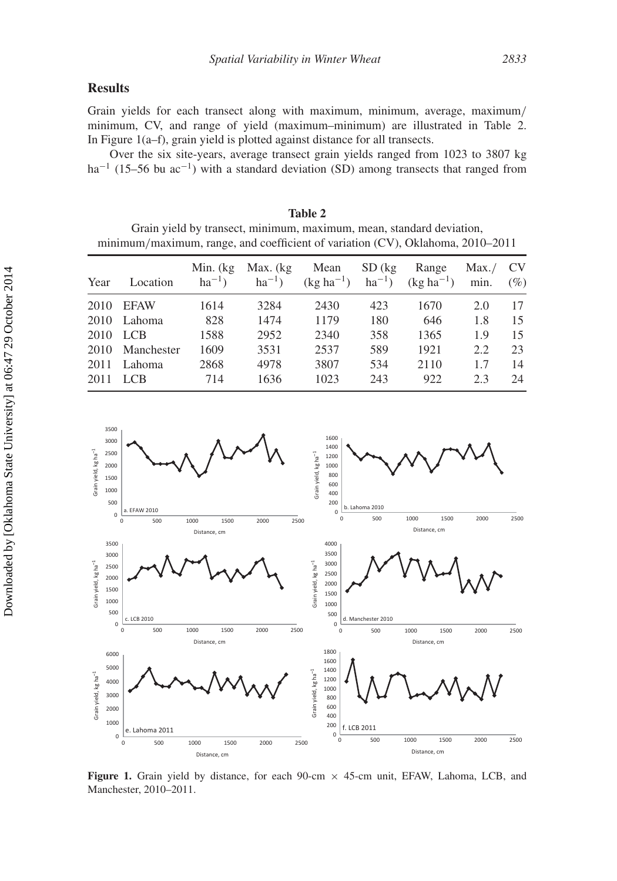## **Results**

Grain yields for each transect along with maximum, minimum, average, maximum*/* minimum, CV, and range of yield (maximum–minimum) are illustrated in Table 2. In Figure 1(a–f), grain yield is plotted against distance for all transects.

Over the six site-years, average transect grain yields ranged from 1023 to 3807 kg ha<sup>-1</sup> (15–56 bu ac<sup>-1</sup>) with a standard deviation (SD) among transects that ranged from

| Table 2                                                                        |  |  |  |  |
|--------------------------------------------------------------------------------|--|--|--|--|
| Grain yield by transect, minimum, maximum, mean, standard deviation,           |  |  |  |  |
| minimum/maximum, range, and coefficient of variation (CV), Oklahoma, 2010–2011 |  |  |  |  |
|                                                                                |  |  |  |  |

| Year | Location    | Min. (kg<br>$ha^{-1}$ ) | Max. (kg)<br>$ha^{-1}$ ) | Mean<br>$(kg ha^{-1})$ | $SD$ (kg)<br>$ha^{-1}$ ) | Range<br>$(kg ha^{-1})$ | Max. /<br>min. | <b>CV</b><br>(%) |
|------|-------------|-------------------------|--------------------------|------------------------|--------------------------|-------------------------|----------------|------------------|
| 2010 | <b>EFAW</b> | 1614                    | 3284                     | 2430                   | 423                      | 1670                    | 2.0            | 17               |
| 2010 | Lahoma      | 828                     | 1474                     | 1179                   | 180                      | 646                     | 1.8            | 15               |
| 2010 | LCB         | 1588                    | 2952                     | 2340                   | 358                      | 1365                    | 1.9            | 15               |
| 2010 | Manchester  | 1609                    | 3531                     | 2537                   | 589                      | 1921                    | 2.2            | 23               |
| 2011 | Lahoma      | 2868                    | 4978                     | 3807                   | 534                      | 2110                    | 17             | 14               |
| 2011 | <b>LCB</b>  | 714                     | 1636                     | 1023                   | 243                      | 922                     | 2.3            | 24               |



**Figure 1.** Grain yield by distance, for each  $90$ -cm  $\times$  45-cm unit, EFAW, Lahoma, LCB, and Manchester, 2010–2011.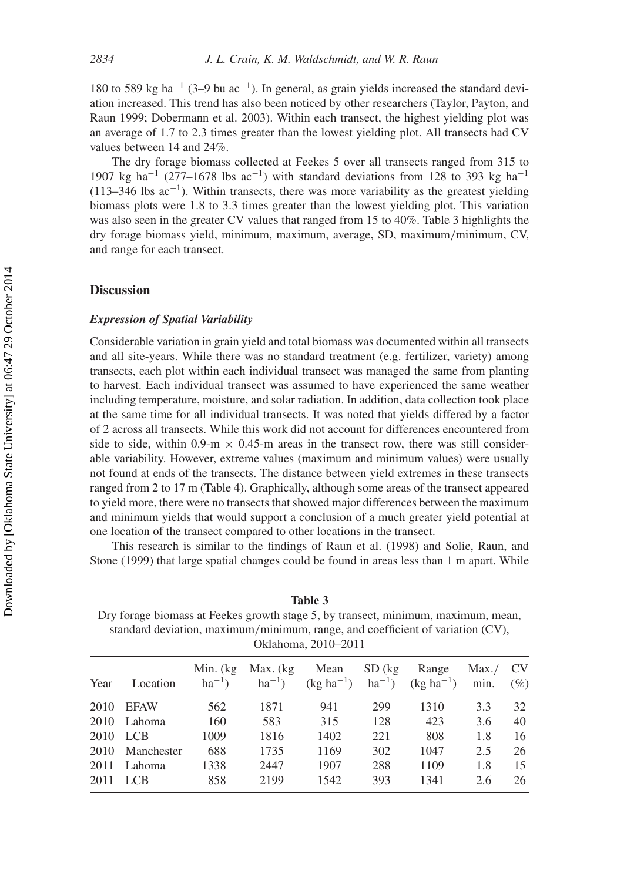180 to 589 kg ha−<sup>1</sup> (3–9 bu ac−1). In general, as grain yields increased the standard deviation increased. This trend has also been noticed by other researchers (Taylor, Payton, and Raun 1999; Dobermann et al. 2003). Within each transect, the highest yielding plot was an average of 1.7 to 2.3 times greater than the lowest yielding plot. All transects had CV values between 14 and 24%.

The dry forage biomass collected at Feekes 5 over all transects ranged from 315 to 1907 kg ha<sup>-1</sup> (277–1678 lbs ac<sup>-1</sup>) with standard deviations from 128 to 393 kg ha<sup>-1</sup> (113–346 lbs  $ac^{-1}$ ). Within transects, there was more variability as the greatest yielding biomass plots were 1.8 to 3.3 times greater than the lowest yielding plot. This variation was also seen in the greater CV values that ranged from 15 to 40%. Table 3 highlights the dry forage biomass yield, minimum, maximum, average, SD, maximum*/*minimum, CV, and range for each transect.

#### **Discussion**

#### *Expression of Spatial Variability*

Considerable variation in grain yield and total biomass was documented within all transects and all site-years. While there was no standard treatment (e.g. fertilizer, variety) among transects, each plot within each individual transect was managed the same from planting to harvest. Each individual transect was assumed to have experienced the same weather including temperature, moisture, and solar radiation. In addition, data collection took place at the same time for all individual transects. It was noted that yields differed by a factor of 2 across all transects. While this work did not account for differences encountered from side to side, within 0.9-m  $\times$  0.45-m areas in the transect row, there was still considerable variability. However, extreme values (maximum and minimum values) were usually not found at ends of the transects. The distance between yield extremes in these transects ranged from 2 to 17 m (Table 4). Graphically, although some areas of the transect appeared to yield more, there were no transects that showed major differences between the maximum and minimum yields that would support a conclusion of a much greater yield potential at one location of the transect compared to other locations in the transect.

This research is similar to the findings of Raun et al. (1998) and Solie, Raun, and Stone (1999) that large spatial changes could be found in areas less than 1 m apart. While

**Table 3** Dry forage biomass at Feekes growth stage 5, by transect, minimum, maximum, mean, standard deviation, maximum*/*minimum, range, and coefficient of variation (CV), Oklahoma, 2010–2011

| Year | Location        | Min. $(kg)$<br>$ha^{-1}$ ) | Max. (kg)<br>$ha^{-1}$ ) | Mean<br>$(kg ha^{-1})$ | $SD$ (kg) | Range<br>$ha^{-1}$ ) (kg $ha^{-1}$ ) | Max. /<br>min. | <b>CV</b><br>$(\%)$ |
|------|-----------------|----------------------------|--------------------------|------------------------|-----------|--------------------------------------|----------------|---------------------|
|      | 2010 EFAW       | 562                        | 1871                     | 941                    | 299       | 1310                                 | 3.3            | 32                  |
|      | 2010 Lahoma     | 160                        | 583                      | 315                    | 128       | 423                                  | 3.6            | 40                  |
|      | 2010 LCB        | 1009                       | 1816                     | 1402                   | 221       | 808                                  | 1.8            | 16                  |
|      | 2010 Manchester | 688                        | 1735                     | 1169                   | 302       | 1047                                 | 2.5            | 26                  |
| 2011 | Lahoma          | 1338                       | 2447                     | 1907                   | 288       | 1109                                 | 1.8            | 15                  |
|      | 2011 LCB        | 858                        | 2199                     | 1542                   | 393       | 1341                                 | 2.6            | 26                  |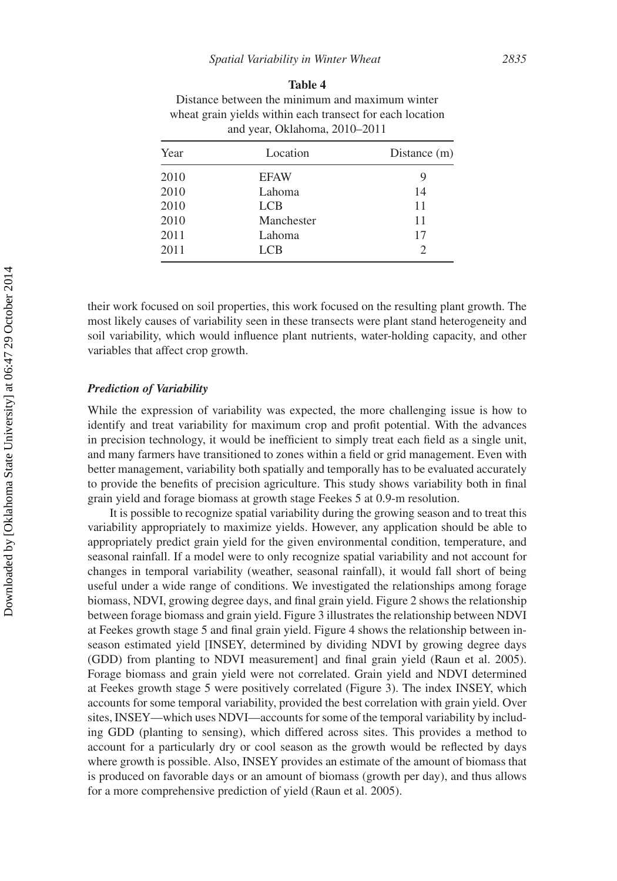| and year, Oklahoma, 2010–2011 |             |                |  |  |
|-------------------------------|-------------|----------------|--|--|
| Year                          | Location    | Distance $(m)$ |  |  |
| 2010                          | <b>EFAW</b> | 9              |  |  |
| 2010                          | Lahoma      | 14             |  |  |
| 2010                          | <b>LCB</b>  | 11             |  |  |
| 2010                          | Manchester  | 11             |  |  |
| 2011                          | Lahoma      | 17             |  |  |
| 2011                          | LCB         | $\overline{c}$ |  |  |

#### **Table 4**

Distance between the minimum and maximum winter wheat grain yields within each transect for each location

their work focused on soil properties, this work focused on the resulting plant growth. The most likely causes of variability seen in these transects were plant stand heterogeneity and soil variability, which would influence plant nutrients, water-holding capacity, and other variables that affect crop growth.

#### *Prediction of Variability*

While the expression of variability was expected, the more challenging issue is how to identify and treat variability for maximum crop and profit potential. With the advances in precision technology, it would be inefficient to simply treat each field as a single unit, and many farmers have transitioned to zones within a field or grid management. Even with better management, variability both spatially and temporally has to be evaluated accurately to provide the benefits of precision agriculture. This study shows variability both in final grain yield and forage biomass at growth stage Feekes 5 at 0.9-m resolution.

It is possible to recognize spatial variability during the growing season and to treat this variability appropriately to maximize yields. However, any application should be able to appropriately predict grain yield for the given environmental condition, temperature, and seasonal rainfall. If a model were to only recognize spatial variability and not account for changes in temporal variability (weather, seasonal rainfall), it would fall short of being useful under a wide range of conditions. We investigated the relationships among forage biomass, NDVI, growing degree days, and final grain yield. Figure 2 shows the relationship between forage biomass and grain yield. Figure 3 illustrates the relationship between NDVI at Feekes growth stage 5 and final grain yield. Figure 4 shows the relationship between inseason estimated yield [INSEY, determined by dividing NDVI by growing degree days (GDD) from planting to NDVI measurement] and final grain yield (Raun et al. 2005). Forage biomass and grain yield were not correlated. Grain yield and NDVI determined at Feekes growth stage 5 were positively correlated (Figure 3). The index INSEY, which accounts for some temporal variability, provided the best correlation with grain yield. Over sites, INSEY—which uses NDVI—accounts for some of the temporal variability by including GDD (planting to sensing), which differed across sites. This provides a method to account for a particularly dry or cool season as the growth would be reflected by days where growth is possible. Also, INSEY provides an estimate of the amount of biomass that is produced on favorable days or an amount of biomass (growth per day), and thus allows for a more comprehensive prediction of yield (Raun et al. 2005).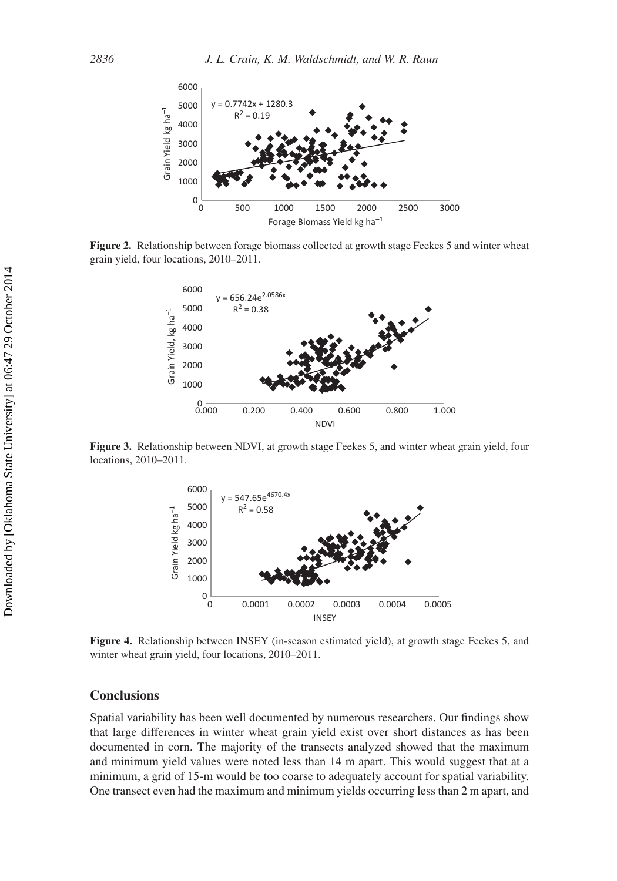

**Figure 2.** Relationship between forage biomass collected at growth stage Feekes 5 and winter wheat grain yield, four locations, 2010–2011.



**Figure 3.** Relationship between NDVI, at growth stage Feekes 5, and winter wheat grain yield, four locations, 2010–2011.



**Figure 4.** Relationship between INSEY (in-season estimated yield), at growth stage Feekes 5, and winter wheat grain yield, four locations, 2010–2011.

#### **Conclusions**

Spatial variability has been well documented by numerous researchers. Our findings show that large differences in winter wheat grain yield exist over short distances as has been documented in corn. The majority of the transects analyzed showed that the maximum and minimum yield values were noted less than 14 m apart. This would suggest that at a minimum, a grid of 15-m would be too coarse to adequately account for spatial variability. One transect even had the maximum and minimum yields occurring less than 2 m apart, and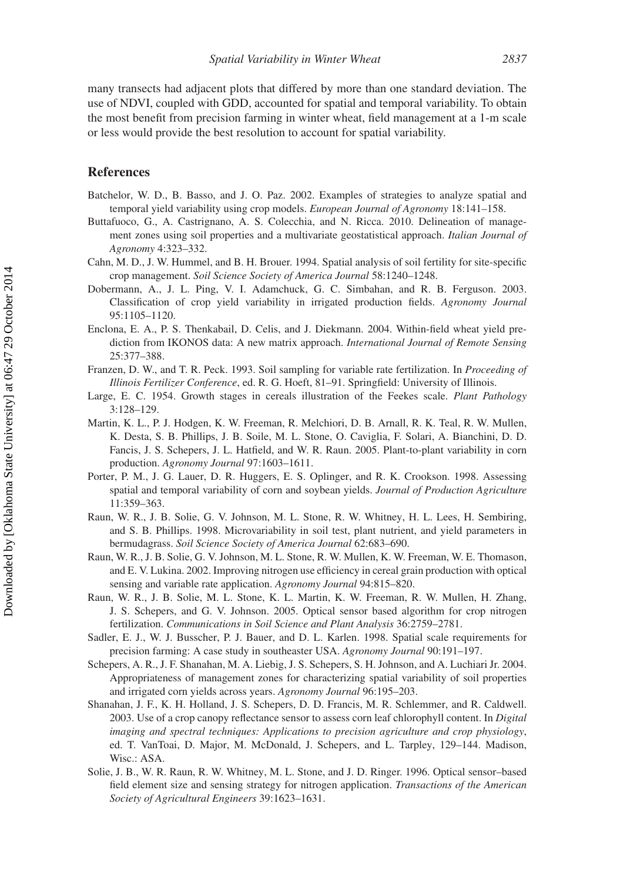many transects had adjacent plots that differed by more than one standard deviation. The use of NDVI, coupled with GDD, accounted for spatial and temporal variability. To obtain the most benefit from precision farming in winter wheat, field management at a 1-m scale or less would provide the best resolution to account for spatial variability.

#### **References**

- Batchelor, W. D., B. Basso, and J. O. Paz. 2002. Examples of strategies to analyze spatial and temporal yield variability using crop models. *European Journal of Agronomy* 18:141–158.
- Buttafuoco, G., A. Castrignano, A. S. Colecchia, and N. Ricca. 2010. Delineation of management zones using soil properties and a multivariate geostatistical approach. *Italian Journal of Agronomy* 4:323–332.
- Cahn, M. D., J. W. Hummel, and B. H. Brouer. 1994. Spatial analysis of soil fertility for site-specific crop management. *Soil Science Society of America Journal* 58:1240–1248.
- Dobermann, A., J. L. Ping, V. I. Adamchuck, G. C. Simbahan, and R. B. Ferguson. 2003. Classification of crop yield variability in irrigated production fields. *Agronomy Journal* 95:1105–1120.
- Enclona, E. A., P. S. Thenkabail, D. Celis, and J. Diekmann. 2004. Within-field wheat yield prediction from IKONOS data: A new matrix approach. *International Journal of Remote Sensing* 25:377–388.
- Franzen, D. W., and T. R. Peck. 1993. Soil sampling for variable rate fertilization. In *Proceeding of Illinois Fertilizer Conference*, ed. R. G. Hoeft, 81–91. Springfield: University of Illinois.
- Large, E. C. 1954. Growth stages in cereals illustration of the Feekes scale. *Plant Pathology* 3:128–129.
- Martin, K. L., P. J. Hodgen, K. W. Freeman, R. Melchiori, D. B. Arnall, R. K. Teal, R. W. Mullen, K. Desta, S. B. Phillips, J. B. Soile, M. L. Stone, O. Caviglia, F. Solari, A. Bianchini, D. D. Fancis, J. S. Schepers, J. L. Hatfield, and W. R. Raun. 2005. Plant-to-plant variability in corn production. *Agronomy Journal* 97:1603–1611.
- Porter, P. M., J. G. Lauer, D. R. Huggers, E. S. Oplinger, and R. K. Crookson. 1998. Assessing spatial and temporal variability of corn and soybean yields. *Journal of Production Agriculture* 11:359–363.
- Raun, W. R., J. B. Solie, G. V. Johnson, M. L. Stone, R. W. Whitney, H. L. Lees, H. Sembiring, and S. B. Phillips. 1998. Microvariability in soil test, plant nutrient, and yield parameters in bermudagrass. *Soil Science Society of America Journal* 62:683–690.
- Raun, W. R., J. B. Solie, G. V. Johnson, M. L. Stone, R. W. Mullen, K. W. Freeman, W. E. Thomason, and E. V. Lukina. 2002. Improving nitrogen use efficiency in cereal grain production with optical sensing and variable rate application. *Agronomy Journal* 94:815–820.
- Raun, W. R., J. B. Solie, M. L. Stone, K. L. Martin, K. W. Freeman, R. W. Mullen, H. Zhang, J. S. Schepers, and G. V. Johnson. 2005. Optical sensor based algorithm for crop nitrogen fertilization. *Communications in Soil Science and Plant Analysis* 36:2759–2781.
- Sadler, E. J., W. J. Busscher, P. J. Bauer, and D. L. Karlen. 1998. Spatial scale requirements for precision farming: A case study in southeaster USA. *Agronomy Journal* 90:191–197.
- Schepers, A. R., J. F. Shanahan, M. A. Liebig, J. S. Schepers, S. H. Johnson, and A. Luchiari Jr. 2004. Appropriateness of management zones for characterizing spatial variability of soil properties and irrigated corn yields across years. *Agronomy Journal* 96:195–203.
- Shanahan, J. F., K. H. Holland, J. S. Schepers, D. D. Francis, M. R. Schlemmer, and R. Caldwell. 2003. Use of a crop canopy reflectance sensor to assess corn leaf chlorophyll content. In *Digital imaging and spectral techniques: Applications to precision agriculture and crop physiology*, ed. T. VanToai, D. Major, M. McDonald, J. Schepers, and L. Tarpley, 129–144. Madison, Wisc.: ASA.
- Solie, J. B., W. R. Raun, R. W. Whitney, M. L. Stone, and J. D. Ringer. 1996. Optical sensor–based field element size and sensing strategy for nitrogen application. *Transactions of the American Society of Agricultural Engineers* 39:1623–1631.